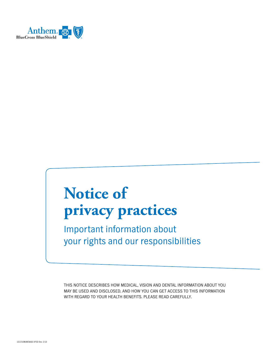

# **Notice of privacy practices**

Important information about your rights and our responsibilities

THIS NOTICE DESCRIBES HOW MEDICAL, VISION AND DENTAL INFORMATION ABOUT YOU MAY BE USED AND DISCLOSED, AND HOW YOU CAN GET ACCESS TO THIS INFORMATION WITH REGARD TO YOUR HEALTH BENEFITS. PLEASE READ CAREFULLY.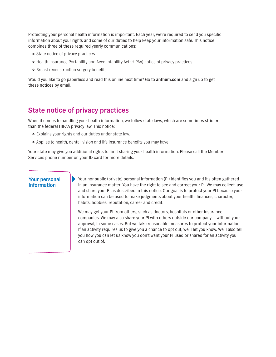Protecting your personal health information is important. Each year, we're required to send you specific information about your rights and some of our duties to help keep your information safe. This notice combines three of these required yearly communications:

- State notice of privacy practices
- }Health Insurance Portability and Accountability Act (HIPAA) notice of privacy practices
- Breast reconstruction surgery benefits

Would you like to go paperless and read this online next time? Go to **[anthem.com](http://www.anthem.com)** and sign up to get these notices by email.

## **State notice of privacy practices**

When it comes to handling your health information, we follow state laws, which are sometimes stricter than the federal HIPAA privacy law. This notice:

- }Explains your rights and our duties under state law.
- }Applies to health, dental, vision and life insurance benefits you may have.

Your state may give you additional rights to limit sharing your health information. Please call the Member Services phone number on your ID card for more details.

#### **Your personal information**

Your nonpublic (private) personal information (PI) identifies you and it's often gathered in an insurance matter. You have the right to see and correct your PI. We may collect, use and share your PI as described in this notice. Our goal is to protect your PI because your information can be used to make judgments about your health, finances, character, habits, hobbies, reputation, career and credit.

We may get your PI from others, such as doctors, hospitals or other insurance companies. We may also share your PI with others outside our company — without your approval, in some cases. But we take reasonable measures to protect your information. If an activity requires us to give you a chance to opt out, we'll let you know. We'll also tell you how you can let us know you don't want your PI used or shared for an activity you can opt out of.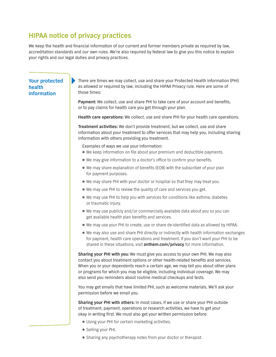## **HIPAA notice of privacy practices**

We keep the health and financial information of our current and former members private as required by law, accreditation standards and our own rules. We're also required by federal law to give you this notice to explain your rights and our legal duties and privacy practices.

#### **Your protected health information**

There are times we may collect, use and share your Protected Health Information (PHI) as allowed or required by law, including the HIPAA Privacy rule. Here are some of those times:

**Payment:** We collect, use and share PHI to take care of your account and benefits, or to pay claims for health care you get through your plan.

**Health care operations:** We collect, use and share PHI for your health care operations.

 information with others providing you treatment. Examples of ways we use your information: **Treatment activities:** We don't provide treatment, but we collect, use and share information about your treatment to offer services that may help you, including sharing

- We keep information on file about your premium and deductible payments.
- We may give information to a doctor's office to confirm your benefits.
- We may share explanation of benefits (EOB) with the subscriber of your plan for payment purposes.
- We may share PHI with your doctor or hospital so that they may treat you.
- We may use PHI to review the quality of care and services you get.
- We may use PHI to help you with services for conditions like asthma, diabetes or traumatic injury.
- We may use publicly and/or commercially available data about you so you can get available health plan benefits and services.
- We may use your PHI to create, use or share de-identified data as allowed by HIPAA.
- We may also use and share PHI directly or indirectly with health information exchanges for payment, health care operations and treatment. If you don't want your PHI to be shared in these situations, visit **[anthem.com/privacy](http://anthem.com/privacy)** for more information.

**Sharing your PHI with you:** We must give you access to your own PHI. We may also contact you about treatment options or other health-related benefits and services. When you or your dependents reach a certain age, we may tell you about other plans or programs for which you may be eligible, including individual coverage. We may also send you reminders about routine medical checkups and tests.

You may get emails that have limited PHI, such as welcome materials. We'll ask your permission before we email you.

**Sharing your PHI with others:** In most cases, if we use or share your PHI outside of treatment, payment, operations or research activities, we have to get your okay in writing first. We must also get your written permission before:

- Using your PHI for certain marketing activities.
- **•** Selling your PHI.
- Sharing any psychotherapy notes from your doctor or therapist.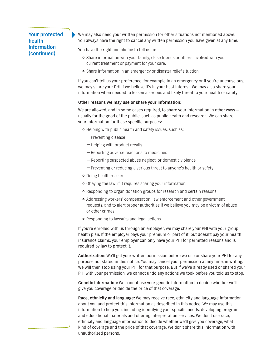### **Your protected health information (continued)**

We may also need your written permission for other situations not mentioned above. You always have the right to cancel any written permission you have given at any time.

You have the right and choice to tell us to:

- Share information with your family, close friends or others involved with your current treatment or payment for your care.
- Share information in an emergency or disaster relief situation.

If you can't tell us your preference, for example in an emergency or if you're unconscious, we may share your PHI if we believe it's in your best interest. We may also share your information when needed to lessen a serious and likely threat to your health or safety.

#### **Other reasons we may use or share your information:**

We are allowed, and in some cases required, to share your information in other ways  $$ usually for the good of the public, such as public health and research. We can share your information for these specific purposes:

- **•** Helping with public health and safety issues, such as:
	- Preventing disease
	- Helping with product recalls
	- Reporting adverse reactions to medicines
	- Reporting suspected abuse neglect, or domestic violence
	- Preventing or reducing a serious threat to anyone's health or safety
- **•** Doing health research.
- Obeying the law, if it requires sharing your information.
- Responding to organ donation groups for research and certain reasons.
- Addressing workers' compensation, law enforcement and other government requests, and to alert proper authorities if we believe you may be a victim of abuse or other crimes.
- Responding to lawsuits and legal actions.

If you're enrolled with us through an employer, we may share your PHI with your group health plan. If the employer pays your premium or part of it, but doesn't pay your health insurance claims, your employer can only have your PHI for permitted reasons and is required by law to protect it.

**Authorization:** We'll get your written permission before we use or share your PHI for any purpose not stated in this notice. You may cancel your permission at any time, in writing. We will then stop using your PHI for that purpose. But if we've already used or shared your PHI with your permission, we cannot undo any actions we took before you told us to stop.

**Genetic information:** We cannot use your genetic information to decide whether we'll give you coverage or decide the price of that coverage.

**Race, ethnicity and language:** We may receive race, ethnicity and language information about you and protect this information as described in this notice. We may use this information to help you, including identifying your specific needs, developing programs and educational materials and offering interpretation services. We don't use race, ethnicity and language information to decide whether we'll give you coverage, what kind of coverage and the price of that coverage. We don't share this information with unauthorized persons.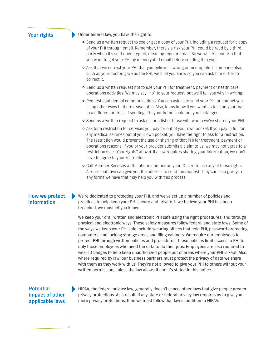| <b>Your rights</b>                                     | Under federal law, you have the right to:                                                                                                                                                                                                                                                                                                                                                                                                                                                                                                                                                                                                                                                                                                                                                                                                                                                                                                       |
|--------------------------------------------------------|-------------------------------------------------------------------------------------------------------------------------------------------------------------------------------------------------------------------------------------------------------------------------------------------------------------------------------------------------------------------------------------------------------------------------------------------------------------------------------------------------------------------------------------------------------------------------------------------------------------------------------------------------------------------------------------------------------------------------------------------------------------------------------------------------------------------------------------------------------------------------------------------------------------------------------------------------|
|                                                        | • Send us a written request to see or get a copy of your PHI, including a request for a copy<br>of your PHI through email. Remember, there's a risk your PHI could be read by a third<br>party when it's sent unencrypted, meaning regular email. So we will first confirm that<br>you want to get your PHI by unencrypted email before sending it to you.                                                                                                                                                                                                                                                                                                                                                                                                                                                                                                                                                                                      |
|                                                        | . Ask that we correct your PHI that you believe is wrong or incomplete. If someone else,<br>such as your doctor, gave us the PHI, we'll let you know so you can ask him or her to<br>correct it.                                                                                                                                                                                                                                                                                                                                                                                                                                                                                                                                                                                                                                                                                                                                                |
|                                                        | • Send us a written request not to use your PHI for treatment, payment or health care<br>operations activities. We may say "no" to your request, but we'll tell you why in writing.                                                                                                                                                                                                                                                                                                                                                                                                                                                                                                                                                                                                                                                                                                                                                             |
|                                                        | • Request confidential communications. You can ask us to send your PHI or contact you<br>using other ways that are reasonable. Also, let us know if you want us to send your mail<br>to a different address if sending it to your home could put you in danger.                                                                                                                                                                                                                                                                                                                                                                                                                                                                                                                                                                                                                                                                                 |
|                                                        | . Send us a written request to ask us for a list of those with whom we've shared your PHI.                                                                                                                                                                                                                                                                                                                                                                                                                                                                                                                                                                                                                                                                                                                                                                                                                                                      |
|                                                        | • Ask for a restriction for services you pay for out of your own pocket: If you pay in full for<br>any medical services out of your own pocket, you have the right to ask for a restriction.<br>The restriction would prevent the use or sharing of that PHI for treatment, payment or<br>operations reasons. If you or your provider submits a claim to us, we may not agree to a<br>restriction (see "Your rights" above). If a law requires sharing your information, we don't<br>have to agree to your restriction.                                                                                                                                                                                                                                                                                                                                                                                                                         |
|                                                        | • Call Member Services at the phone number on your ID card to use any of these rights.<br>A representative can give you the address to send the request. They can also give you<br>any forms we have that may help you with this process.                                                                                                                                                                                                                                                                                                                                                                                                                                                                                                                                                                                                                                                                                                       |
| How we protect<br>information                          | We're dedicated to protecting your PHI, and we've set up a number of policies and<br>practices to help keep your PHI secure and private. If we believe your PHI has been<br>breached, we must let you know.                                                                                                                                                                                                                                                                                                                                                                                                                                                                                                                                                                                                                                                                                                                                     |
|                                                        | We keep your oral, written and electronic PHI safe using the right procedures, and through<br>physical and electronic ways. These safety measures follow federal and state laws. Some of<br>the ways we keep your PHI safe include securing offices that hold PHI, password-protecting<br>computers, and locking storage areas and filing cabinets. We require our employees to<br>protect PHI through written policies and procedures. These policies limit access to PHI to<br>only those employees who need the data to do their jobs. Employees are also required to<br>wear ID badges to help keep unauthorized people out of areas where your PHI is kept. Also,<br>where required by law, our business partners must protect the privacy of data we share<br>with them as they work with us. They're not allowed to give your PHI to others without your<br>written permission, unless the law allows it and it's stated in this notice. |
| <b>Potential</b><br>impact of other<br>applicable laws | HIPAA, the federal privacy law, generally doesn't cancel other laws that give people greater<br>privacy protections. As a result, if any state or federal privacy law requires us to give you<br>more privacy protections, then we must follow that law in addition to HIPAA.                                                                                                                                                                                                                                                                                                                                                                                                                                                                                                                                                                                                                                                                   |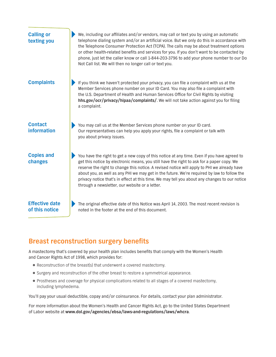

## **Breast reconstruction surgery benefits**

A mastectomy that's covered by your health plan includes benefits that comply with the Women's Health and Cancer Rights Act of 1998, which provides for:

- Reconstruction of the breast(s) that underwent a covered mastectomy.
- Surgery and reconstruction of the other breast to restore a symmetrical appearance.
- Prostheses and coverage for physical complications related to all stages of a covered mastectomy, including lymphedema.

You'll pay your usual deductible, copay and/or coinsurance. For details, contact your plan administrator.

For more information about the Women's Health and Cancer Rights Act, go to the United States Department of Labor website at **[www.dol.gov/agencies/ebsa/laws-and-regulations/laws/whcra](http://www.dol.gov/agencies/ebsa/laws-and-regulations/laws/whcra)**.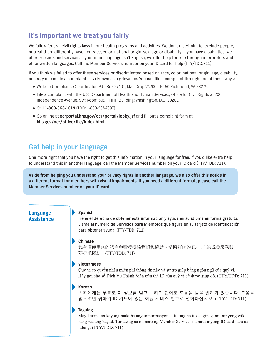## **It's important we treat you fairly**

We follow federal civil rights laws in our health programs and activities. We don't discriminate, exclude people, or treat them differently based on race, color, national origin, sex, age or disability. If you have disabilities, we offer free aids and services. If your main language isn't English, we offer help for free through interpreters and other written languages. Call the Member Services number on your ID card for help (TTY/TDD:711).

If you think we failed to offer these services or discriminated based on race, color, national origin, age, disability, or sex, you can file a complaint, also known as a grievance. You can file a complaint through one of these ways:

- }Write to Compliance Coordinator, P.O. Box 27401, Mail Drop VA2002-N160 Richmond, VA 23279.
- }File a complaint with the U.S. Department of Health and Human Services, Office for Civil Rights at 200 Independence Avenue, SW; Room 509F, HHH Building; Washington, D.C. 20201.
- }Call **1-800-368-1019** (TDD: 1-800-537-7697).
- }Go online at **[ocrportal.hhs.gov/ocr/portal/lobby.jsf](http://ocrportal.hhs.gov/ocr/portal/lobby.jsf)** and fill out a complaint form at **[hhs.gov/ocr/office/file/index.html](http://hhs.gov/ocr/office/file/index.html)**.

## **Get help in your language**

One more right that you have the right to get this information in your language for free. If you'd like extra help to understand this in another language, call the Member Services number on your ID card (TTY/TDD: 711).

**Aside from helping you understand your privacy rights in another language, we also offer this notice in a different format for members with visual impairments. If you need a different format, please call the Member Services number on your ID card.** 

#### **Language Assistance**

#### **Spanish**

Tiene el derecho de obtener esta información y ayuda en su idioma en forma gratuita. Llame al número de Servicios para Miembros que figura en su tarjeta de identificación para obtener ayuda. (TTY/TDD: 711)

#### **Chinese**

您有權使用您的語言免費獲得該資訊和協助。請撥打您的 ID 卡上的成員服務號 碼尋求協助。(TTY/TDD: 711)

#### $\blacktriangleright$  Vietnamese

Quý vị có quyền nhận miễn phí thông tin này và sự trợ giúp bằng ngôn ngữ của quý vị. Hãy gọi cho số Dich Vu Thành Viên trên thẻ ID của quý vi để được giúp đỡ. (TTY/TDD: 711)

#### $\blacktriangleright$  Korean

귀하에게는 무료로 이 정보를 얻고 귀하의 언어로 도움을 받을 권리가 있습니다. 도움을 얻으려면 귀하의 ID 카드에 있는 회원 서비스 번호로 전화하십시오. (TTY/TDD: 711)

#### Tagalog

May karapatan kayong makuha ang impormasyon at tulong na ito sa ginagamit ninyong wika nang walang bayad. Tumawag sa numero ng Member Services na nasa inyong ID card para sa tulong. (TTY/TDD: 711)